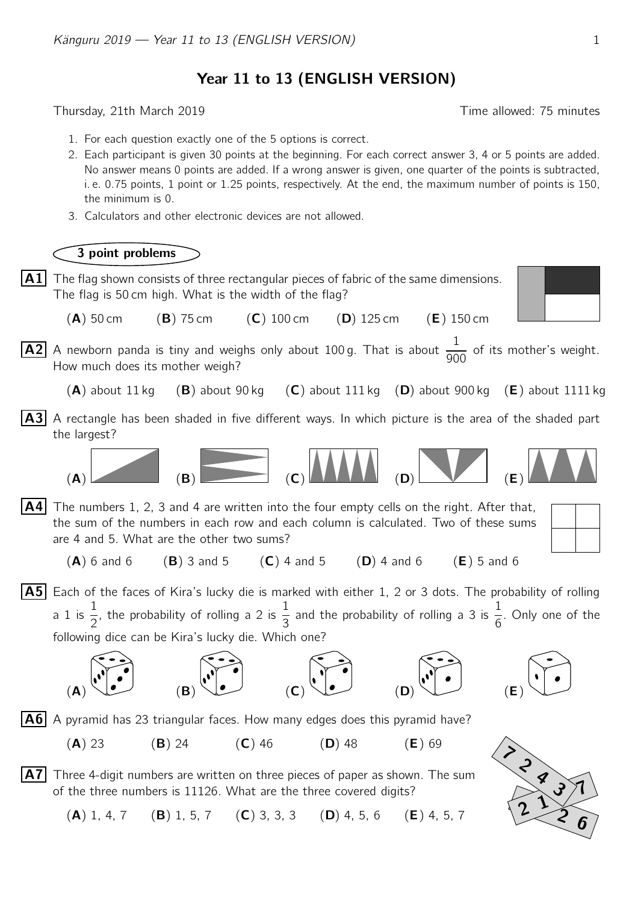Year 11 to 13 (ENGLISH VERSION)

Thursday, 21th March 2019 **Thursday**, 21th March 2019

- 1. For each question exactly one of the 5 options is correct.
- 2. Each participant is given 30 points at the beginning. For each correct answer 3, 4 or 5 points are added. No answer means 0 points are added. If a wrong answer is given, one quarter of the points is subtracted, i. e. 0.75 points, 1 point or 1.25 points, respectively. At the end, the maximum number of points is 150, the minimum is 0.
- 3. Calculators and other electronic devices are not allowed.

## 3 point problems

 $\mathbf{A1}$  The flag shown consists of three rectangular pieces of fabric of the same dimensions. The flag is 50 cm high. What is the width of the flag?



- (A) 50 cm (B) 75 cm (C) 100 cm (D) 125 cm (E) 150 cm
- $\overline{A2}$  A newborn panda is tiny and weighs only about 100 g. That is about  $\frac{1}{20}$  $\frac{1}{900}$  of its mother's weight. How much does its mother weigh?
	- $(A)$  about 11 kg  $(B)$  about 90 kg  $(C)$  about 111 kg  $(D)$  about 900 kg  $(E)$  about 1111 kg
- $|A3|$  A rectangle has been shaded in five different ways. In which picture is the area of the shaded part the largest?



 $|AA|$  The numbers 1, 2, 3 and 4 are written into the four empty cells on the right. After that, the sum of the numbers in each row and each column is calculated. Two of these sums are 4 and 5. What are the other two sums?

- (A) 6 and 6 (B) 3 and 5 (C) 4 and 5 (D) 4 and 6 (E) 5 and 6
- $|A5|$  Each of the faces of Kira's lucky die is marked with either 1, 2 or 3 dots. The probability of rolling a 1 is  $\frac{1}{2}$ 2 , the probability of rolling a 2 is  $\frac{1}{2}$ 3 and the probability of rolling a 3 is  $\frac{1}{6}$ 6 . Only one of the following dice can be Kira's lucky die. Which one?





- $|A6|$  A pyramid has 23 triangular faces. How many edges does this pyramid have?
	- $(A)$  23 (B) 24 (C) 46 (D) 48 (E) 69
- A7 Three 4-digit numbers are written on three pieces of paper as shown. The sum of the three numbers is 11126. What are the three covered digits?
	- (A) 1, 4, 7 (B) 1, 5, 7 (C) 3, 3, 3 (D) 4, 5, 6 (E) 4, 5, 7

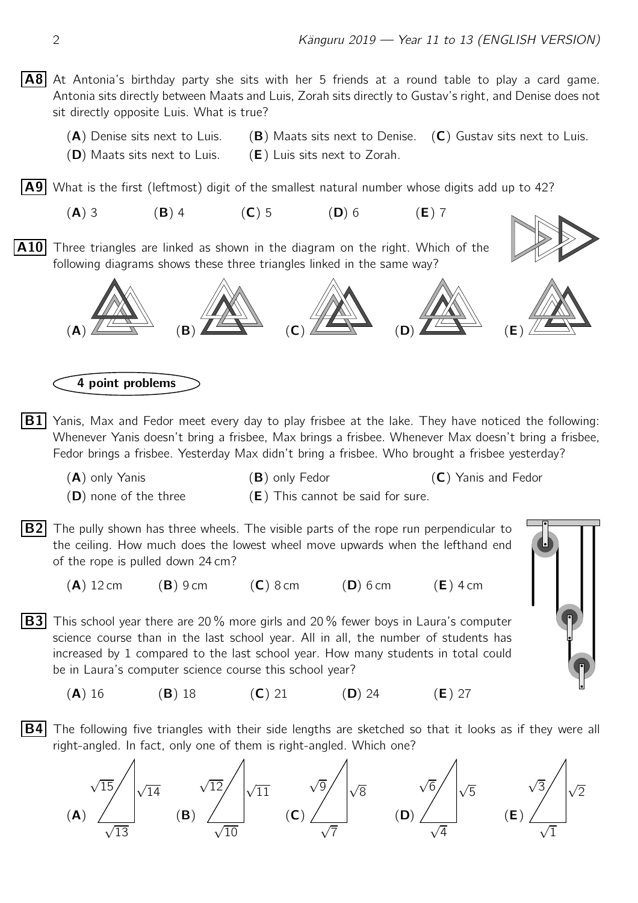$|AB|$  At Antonia's birthday party she sits with her 5 friends at a round table to play a card game. Antonia sits directly between Maats and Luis, Zorah sits directly to Gustav's right, and Denise does not sit directly opposite Luis. What is true?

(A) Denise sits next to Luis.  $(B)$  Maats sits next to Denise.  $(C)$  Gustav sits next to Luis.  $(D)$  Maats sits next to Luis.  $(E)$  Luis sits next to Zorah.

 $\vert$  A9 What is the first (leftmost) digit of the smallest natural number whose digits add up to 42?

(A) 3 (B) 4 (C) 5 (D) 6 (E) 7

**A10** Three triangles are linked as shown in the diagram on the right. Which of the following diagrams shows these three triangles linked in the same way?





4 point problems

- $|B1|$  Yanis, Max and Fedor meet every day to play frisbee at the lake. They have noticed the following: Whenever Yanis doesn't bring a frisbee, Max brings a frisbee. Whenever Max doesn't bring a frisbee, Fedor brings a frisbee. Yesterday Max didn't bring a frisbee. Who brought a frisbee yesterday?
	- (A) only Yanis (B) only Fedor (C) Yanis and Fedor
	- $(D)$  none of the three  $(E)$  This cannot be said for sure.
- **B2** The pully shown has three wheels. The visible parts of the rope run perpendicular to the ceiling. How much does the lowest wheel move upwards when the lefthand end of the rope is pulled down 24 cm?

 $(A)$  12 cm  $(B)$  9 cm  $(C)$  8 cm  $(D)$  6 cm  $(E)$  4 cm

**B3** This school year there are 20% more girls and 20% fewer boys in Laura's computer science course than in the last school year. All in all, the number of students has increased by 1 compared to the last school year. How many students in total could be in Laura's computer science course this school year?



(**A**) 16 (**B**) 18 (**C**) 21 (**D**) 24 (**E**) 27

 $|B4|$  The following five triangles with their side lengths are sketched so that it looks as if they were all right-angled. In fact, only one of them is right-angled. Which one?

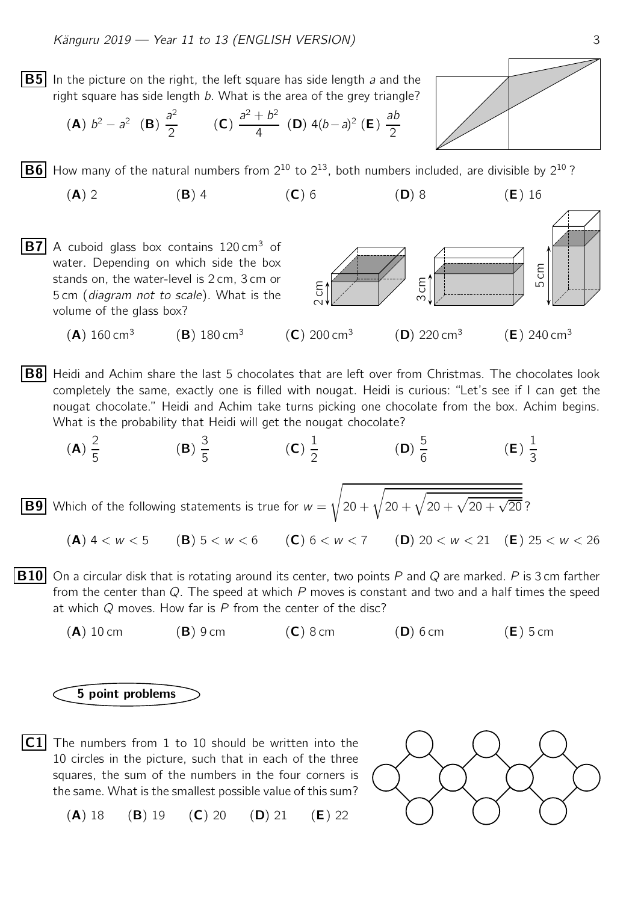**B5** In the picture on the right, the left square has side length a and the right square has side length b. What is the area of the grey triangle?

(**A**) 
$$
b^2 - a^2
$$
 (**B**)  $\frac{a^2}{2}$  (**C**)  $\frac{a^2 + b^2}{4}$  (**D**)  $4(b-a)^2$  (**E**)  $\frac{ab}{2}$ 

**B6** How many of the natural numbers from  $2^{10}$  to  $2^{13}$ , both numbers included, are divisible by  $2^{10}$ ?

- (A) 2 (B) 4 (C) 6 (D) 8 (E) 16
- **B7** A cuboid glass box contains 120 cm<sup>3</sup> of water. Depending on which side the box stands on, the water-level is 2 cm, 3 cm or 5 cm (diagram not to scale). What is the volume of the glass box?
	- $(A)$  160 cm<sup>3</sup>  $(B)$  180 cm<sup>3</sup>
- $|B8|$  Heidi and Achim share the last 5 chocolates that are left over from Christmas. The chocolates look completely the same, exactly one is filled with nougat. Heidi is curious: "Let's see if I can get the nougat chocolate." Heidi and Achim take turns picking one chocolate from the box. Achim begins. What is the probability that Heidi will get the nougat chocolate?

(A) 
$$
\frac{2}{5}
$$
     (B)  $\frac{3}{5}$      (C)  $\frac{1}{2}$      (D)  $\frac{5}{6}$      (E)  $\frac{1}{3}$ 

\nBy Which of the following statements is true for  $w = \sqrt{20 + \sqrt{20 + \sqrt{20 + \sqrt{20}}}}$ ?

\n(A)  $4 < w < 5$      (B)  $5 < w < 6$      (C)  $6 < w < 7$      (D)  $20 < w < 21$      (E)  $25 < w < 26$ 

- **B10** On a circular disk that is rotating around its center, two points P and Q are marked. P is 3 cm farther from the center than  $Q$ . The speed at which  $P$  moves is constant and two and a half times the speed at which  $Q$  moves. How far is  $P$  from the center of the disc?
	- $(A)$  10 cm  $(B)$  9 cm  $(C)$  8 cm  $(D)$  6 cm  $(E)$  5 cm

## 5 point problems

 $|{\sf C1}|$  The numbers from 1 to 10 should be written into the 10 circles in the picture, such that in each of the three squares, the sum of the numbers in the four corners is the same. What is the smallest possible value of this sum?

(A) 18 (B) 19 (C) 20 (D) 21 (E) 22